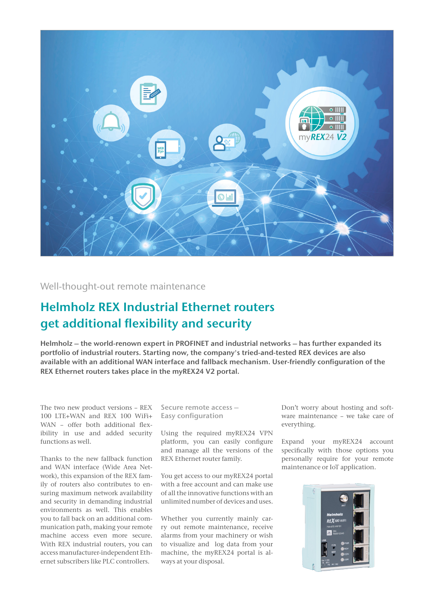

Well-thought-out remote maintenance

## Helmholz REX Industrial Ethernet routers get additional flexibility and security

Helmholz – the world-renown expert in PROFINET and industrial networks – has further expanded its portfolio of industrial routers. Starting now, the company's tried-and-tested REX devices are also available with an additional WAN interface and fallback mechanism. User-friendly configuration of the REX Ethernet routers takes place in the myREX24 V2 portal.

The two new product versions – REX 100 LTE+WAN and REX 100 WiFi+ WAN – offer both additional flexibility in use and added security functions as well.

Thanks to the new fallback function and WAN interface (Wide Area Network), this expansion of the REX family of routers also contributes to ensuring maximum network availability and security in demanding industrial environments as well. This enables you to fall back on an additional communication path, making your remote machine access even more secure. With REX industrial routers, you can access manufacturer-independent Ethernet subscribers like PLC controllers.

Secure remote access – Easy configuration

Using the required myREX24 VPN platform, you can easily configure and manage all the versions of the REX Ethernet router family.

You get access to our myREX24 portal with a free account and can make use of all the innovative functions with an unlimited number of devices and uses.

Whether you currently mainly carry out remote maintenance, receive alarms from your machinery or wish to visualize and log data from your machine, the myREX24 portal is always at your disposal.

Don't worry about hosting and software maintenance – we take care of everything.

Expand your myREX24 account specifically with those options you personally require for your remote maintenance or IoT application.